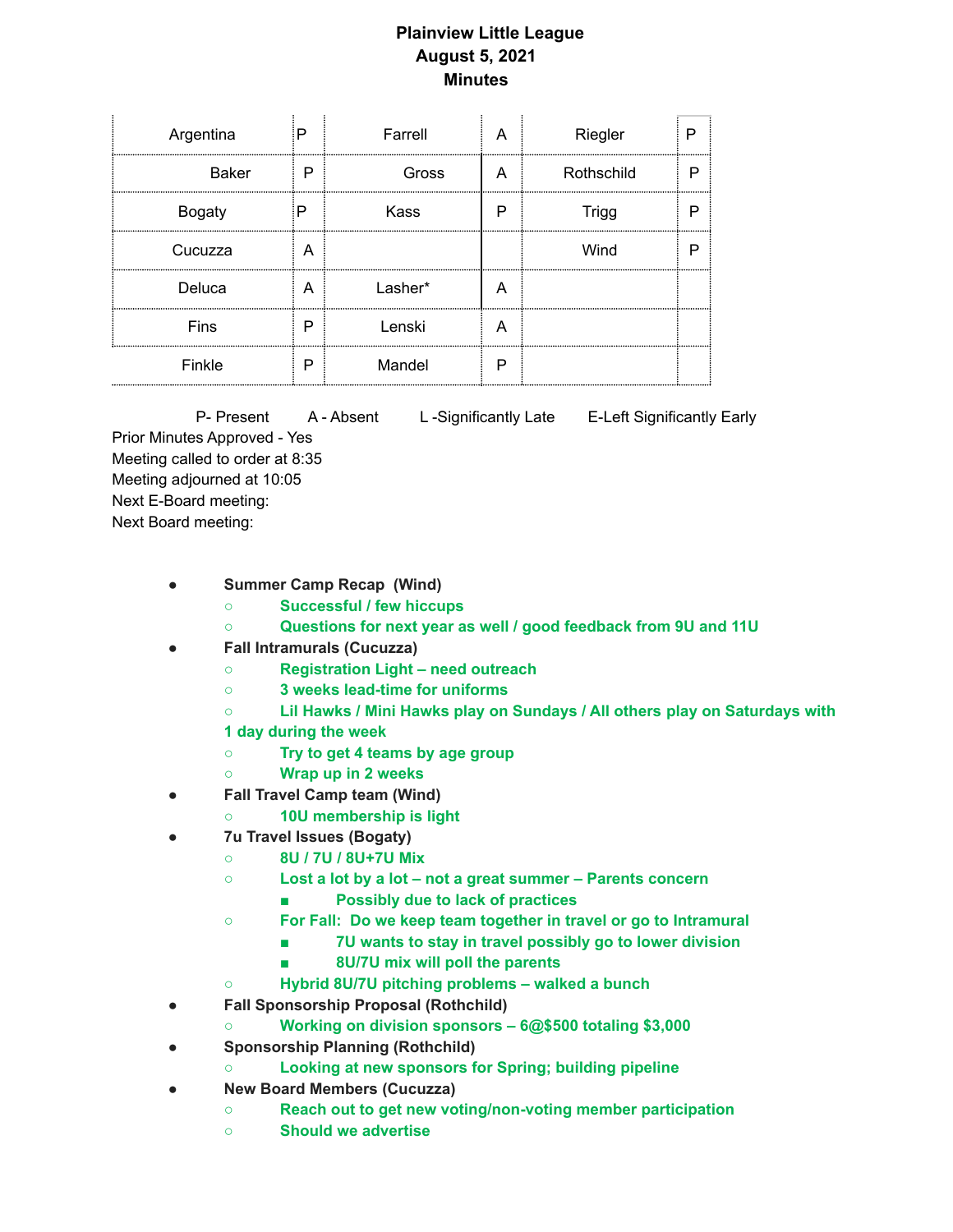## **Plainview Little League August 5, 2021 Minutes**

 $\mathcal{L}^{\mathcal{L}}$ 

| Argentina     | P | Farrell |   | Riegler      |  |
|---------------|---|---------|---|--------------|--|
| <b>Baker</b>  | P | Gross   | A | Rothschild   |  |
| <b>Bogaty</b> | Р | Kass    | Р | <b>Trigg</b> |  |
| Cucuzza       | A |         |   | Wind         |  |
| Deluca        | A | Lasher* | A |              |  |
| Fins          | P | Lenski  | А |              |  |
| Finkle        | P | Mandel  | Р |              |  |

P- Present A - Absent L - Significantly Late E-Left Significantly Early Prior Minutes Approved - Yes Meeting called to order at 8:35 Meeting adjourned at 10:05 Next E-Board meeting: Next Board meeting:

- **Summer Camp Recap (Wind)**
	- **Successful / few hiccups**
	- **Questions for next year as well / good feedback from 9U and 11U**
- **Fall Intramurals (Cucuzza)**
	- **Registration Light – need outreach**
	- **3 weeks lead-time for uniforms**
	- **Lil Hawks / Mini Hawks play on Sundays / All others play on Saturdays with**
	- **1 day during the week**
	- **Try to get 4 teams by age group**
	- **Wrap up in 2 weeks**
- **Fall Travel Camp team (Wind)**
	- **10U membership is light**
- **7u Travel Issues (Bogaty)**
	- **8U / 7U / 8U+7U Mix**
	- **Lost a lot by a lot – not a great summer – Parents concern**
		- **Possibly due to lack of practices**
	- **For Fall: Do we keep team together in travel or go to Intramural**
		- **7U wants to stay in travel possibly go to lower division**
		- **8U/7U mix will poll the parents**
	- **Hybrid 8U/7U pitching problems – walked a bunch**
- **Fall Sponsorship Proposal (Rothchild)**
	- **Working on division sponsors – 6@\$500 totaling \$3,000**
- **Sponsorship Planning (Rothchild)**
	- **Looking at new sponsors for Spring; building pipeline**
- **New Board Members (Cucuzza)**
	- **Reach out to get new voting/non-voting member participation**
	- **Should we advertise**